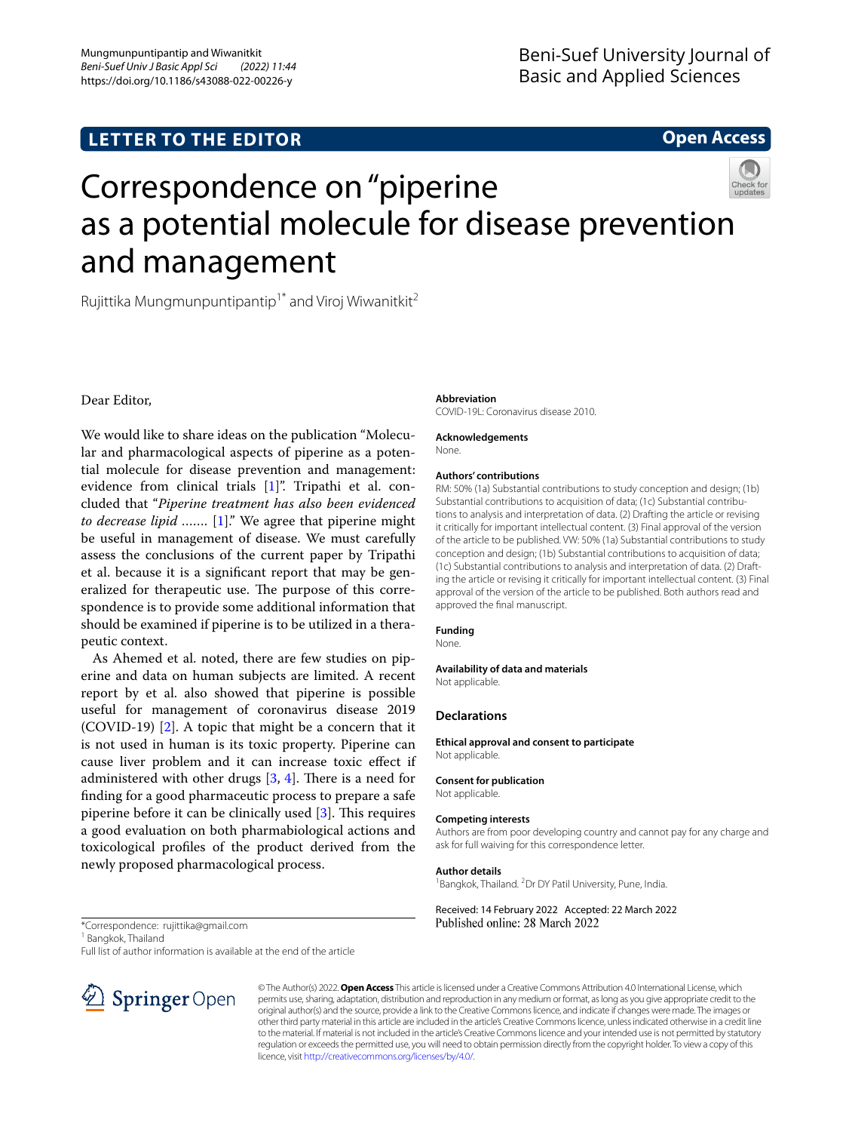## **LETTER TO THE EDITOR**

## **Open Access**

# Correspondence on "piperine as a potential molecule for disease prevention and management

Rujittika Mungmunpuntipantip<sup>1\*</sup> and Viroj Wiwanitkit<sup>2</sup>

Dear Editor,

We would like to share ideas on the publication "Molecular and pharmacological aspects of piperine as a potential molecule for disease prevention and management: evidence from clinical trials [[1\]](#page-1-0)". Tripathi et al. concluded that "*Piperine treatment has also been evidenced to decrease lipid …….* [[1\]](#page-1-0)." We agree that piperine might be useful in management of disease. We must carefully assess the conclusions of the current paper by Tripathi et al. because it is a signifcant report that may be generalized for therapeutic use. The purpose of this correspondence is to provide some additional information that should be examined if piperine is to be utilized in a therapeutic context.

As Ahemed et al. noted, there are few studies on piperine and data on human subjects are limited. A recent report by et al. also showed that piperine is possible useful for management of coronavirus disease 2019 (COVID-19) [[2\]](#page-1-1). A topic that might be a concern that it is not used in human is its toxic property. Piperine can cause liver problem and it can increase toxic efect if administered with other drugs  $[3, 4]$  $[3, 4]$  $[3, 4]$  $[3, 4]$ . There is a need for fnding for a good pharmaceutic process to prepare a safe piperine before it can be clinically used  $[3]$  $[3]$ . This requires a good evaluation on both pharmabiological actions and toxicological profles of the product derived from the newly proposed pharmacological process.

#### **Abbreviation**

COVID-19L: Coronavirus disease 2010.

#### **Acknowledgements**

None.

#### **Authors' contributions**

RM: 50% (1a) Substantial contributions to study conception and design; (1b) Substantial contributions to acquisition of data; (1c) Substantial contributions to analysis and interpretation of data. (2) Drafting the article or revising it critically for important intellectual content. (3) Final approval of the version of the article to be published. VW: 50% (1a) Substantial contributions to study conception and design; (1b) Substantial contributions to acquisition of data; (1c) Substantial contributions to analysis and interpretation of data. (2) Drafting the article or revising it critically for important intellectual content. (3) Final approval of the version of the article to be published. Both authors read and approved the fnal manuscript.

#### **Funding**

None.

#### **Availability of data and materials**

Not applicable.

#### **Declarations**

**Ethical approval and consent to participate** Not applicable.

**Consent for publication** Not applicable.

#### **Competing interests**

Authors are from poor developing country and cannot pay for any charge and ask for full waiving for this correspondence letter.

#### **Author details**

<sup>1</sup> Bangkok, Thailand. <sup>2</sup> Dr DY Patil University, Pune, India.

#### Received: 14 February 2022 Accepted: 22 March 2022 Published online: 28 March 2022

\*Correspondence: rujittika@gmail.com

<sup>1</sup> Bangkok, Thailand

Full list of author information is available at the end of the article



© The Author(s) 2022. **Open Access** This article is licensed under a Creative Commons Attribution 4.0 International License, which permits use, sharing, adaptation, distribution and reproduction in any medium or format, as long as you give appropriate credit to the original author(s) and the source, provide a link to the Creative Commons licence, and indicate if changes were made. The images or other third party material in this article are included in the article's Creative Commons licence, unless indicated otherwise in a credit line to the material. If material is not included in the article's Creative Commons licence and your intended use is not permitted by statutory regulation or exceeds the permitted use, you will need to obtain permission directly from the copyright holder. To view a copy of this licence, visit [http://creativecommons.org/licenses/by/4.0/.](http://creativecommons.org/licenses/by/4.0/)